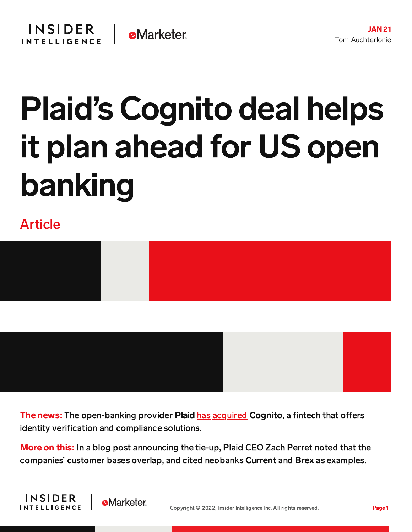## Plaid's Cognito deal helps it plan ahead for US open banking

## Article



The news: The open-banking provider Plaid [has](https://plaid.com/blog/cognito-joins-plaid/) [acquired](https://cognitohq.com/blog/plaid-and-cognito) Cognito, a fintech that offers identity verification and compliance solutions.

More on this: In a blog post announcing the tie-up, Plaid CEO Zach Perret noted that the companies' customer bases overlap, and cited neobanks Current and Brex as examples.



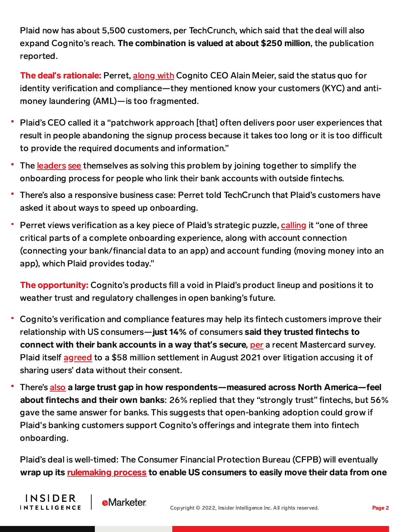Plaid now has about 5,500 customers, per TechCrunch, which said that the deal will also expand Cognito's reach. The combination is valued at about \$250 million, the publication reported.

The deal**'**s rationale: Perret, [along](https://cognitohq.com/blog/plaid-and-cognito) with Cognito CEO Alain Meier, said the status quo for identity verification and compliance—they mentioned know your customers (KYC) and antimoney laundering (AML)—is too fragmented.

- Plaid's CEO called it a "patchwork approach [that] often delivers poor user experiences that result in people abandoning the signup process because it takes too long or it is too difficult to provide the required documents and information."
- The [leaders](https://plaid.com/blog/cognito-joins-plaid/) [see](https://cognitohq.com/blog/plaid-and-cognito) themselves as solving this problem by joining together to simplify the onboarding process for people who link their bank accounts with outside fintechs.
- There's also a responsive business case: Perret told TechCrunch that Plaid's customers have asked it about ways to speed up onboarding.
- Perret views verification as a key piece of Plaid's strategic puzzle, [calling](https://plaid.com/blog/cognito-joins-plaid/) it "one of three critical parts of a complete onboarding experience, along with account connection (connecting your bank/financial data to an app) and account funding (moving money into an app), which Plaid provides today."

The opportunity: Cognito's products fill a void in Plaid's product lineup and positions it to weather trust and regulatory challenges in open banking's future.

- Cognito's verification and compliance features may help its fintech customers improve their relationship with US consumers—just 14% of consumers said they trusted fintechs to connect with their bank accounts in a way that**'**s secure, [per](https://content-na2.emarketer.com/fintechs-have-ground-make-up-court-of-public-opinion) a recent Mastercard survey. Plaid itself [agreed](https://content-na2.emarketer.com/plaid-launches-data-security-framework-ahead-of-regulatory-overhaul) to a \$58 million settlement in August 2021 over litigation accusing it of sharing users' data without their consent.
- There's [also](https://content-na2.emarketer.com/fintechs-have-ground-make-up-court-of-public-opinion) a large trust gap in how respondents—measured across North America—feel about fintechs and their own banks: 26% replied that they "strongly trust" fintechs, but 56% gave the same answer for banks. This suggests that open-banking adoption could grow if Plaid's banking customers support Cognito's offerings and integrate them into fintech onboarding.

Plaid's deal is well-timed: The Consumer Financial Protection Bureau (CFPB) will eventually wrap up its [rulemaking](https://content-na2.emarketer.com/chopra-faces-overdrafts-open-banking-major-cfpb-items) process to enable US consumers to easily move their data from one

**INSIDER** 

**INTELLIGENCE** 

**e**Marketer